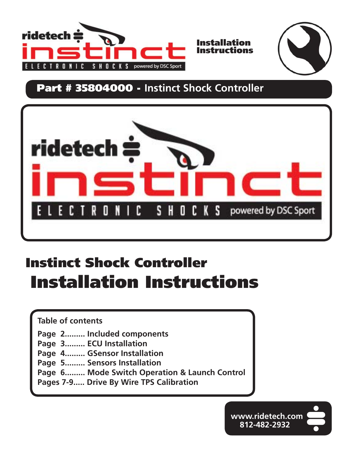



# **Part # 35804000 - Instinct Shock Controller**



# **Instinct Shock Controller Installation Instructions**

**Table of contents**

- **Page 2......... Included components**
- **Page 3......... ECU Installation**
- **Page 4......... GSensor Installation**
- **Page 5......... Sensors Installation**
- **Page 6......... Mode Switch Operation & Launch Control**
- **Pages 7-9..... Drive By Wire TPS Calibration**

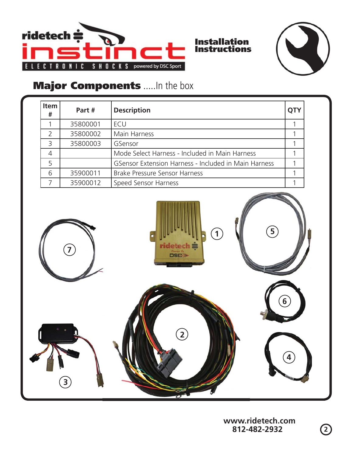



# **Major Components** .....In the box

| <b>Item</b><br># | Part #   | <b>Description</b>                                   | QTY |
|------------------|----------|------------------------------------------------------|-----|
|                  | 35800001 | ECU                                                  |     |
| っ                | 35800002 | Main Harness                                         |     |
| 3                | 35800003 | GSensor                                              |     |
| $\overline{4}$   |          | Mode Select Harness - Included in Main Harness       |     |
| 5                |          | GSensor Extension Harness - Included in Main Harness |     |
| 6                | 35900011 | Brake Pressure Sensor Harness                        |     |
|                  | 35900012 | Speed Sensor Harness                                 |     |



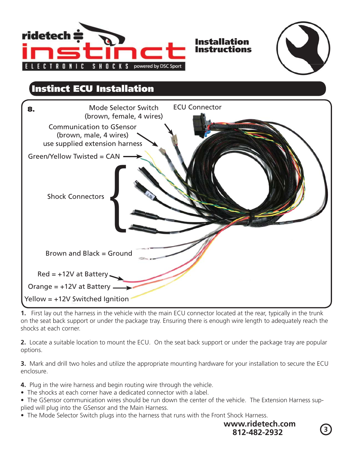



### **Instinct ECU Installation**



**1.** First lay out the harness in the vehicle with the main ECU connector located at the rear, typically in the trunk on the seat back support or under the package tray. Ensuring there is enough wire length to adequately reach the shocks at each corner.

**2.** Locate a suitable location to mount the ECU. On the seat back support or under the package tray are popular options.

**3.** Mark and drill two holes and utilize the appropriate mounting hardware for your installation to secure the ECU enclosure.

**4.** Plug in the wire harness and begin routing wire through the vehicle.

- The shocks at each corner have a dedicated connector with a label.
- The GSensor communication wires should be run down the center of the vehicle. The Extension Harness supplied will plug into the GSensor and the Main Harness.
- The Mode Selector Switch plugs into the harness that runs with the Front Shock Harness.



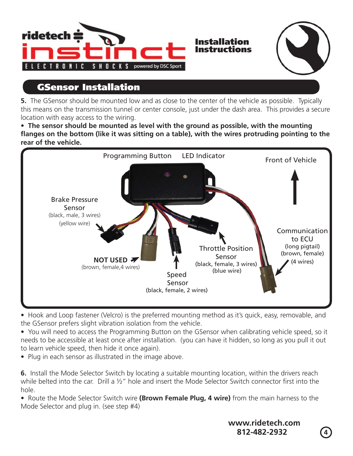



# **GSensor Installation**

**5.** The GSensor should be mounted low and as close to the center of the vehicle as possible. Typically this means on the transmission tunnel or center console, just under the dash area. This provides a secure location with easy access to the wiring.

• The sensor should be mounted as level with the ground as possible, with the mounting flanges on the bottom (like it was sitting on a table), with the wires protruding pointing to the **rear of the vehicle.**



• Hook and Loop fastener (Velcro) is the preferred mounting method as it's quick, easy, removable, and the GSensor prefers slight vibration isolation from the vehicle.

• You will need to access the Programming Button on the GSensor when calibrating vehicle speed, so it needs to be accessible at least once after installation. (you can have it hidden, so long as you pull it out to learn vehicle speed, then hide it once again).

• Plug in each sensor as illustrated in the image above.

**6.** Install the Mode Selector Switch by locating a suitable mounting location, within the drivers reach while belted into the car. Drill a  $\frac{1}{2}$ " hole and insert the Mode Selector Switch connector first into the hole.

• Route the Mode Selector Switch wire (Brown Female Plug, 4 wire) from the main harness to the Mode Selector and plug in. (see step #4)



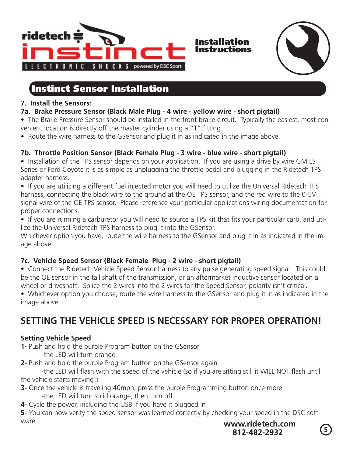

### **Instinct Sensor Installation**

#### **7. Install the Sensors:**

**7a. Brake Pressure Sensor (Black Male Plug - 4 wire - yellow wire - short pigtail)**

• The Brake Pressure Sensor should be installed in the front brake circuit. Typically the easiest, most convenient location is directly off the master cylinder using a "T" fitting.

**•** Route the wire harness to the GSensor and plug it in as indicated in the image above.

### **7b. Throttle Position Sensor (Black Female Plug - 3 wire - blue wire - short pigtail)**

**•** Installation of the TPS sensor depends on your application. If you are using a drive by wire GM LS Series or Ford Coyote it is as simple as unplugging the throttle pedal and plugging in the Ridetech TPS adapter harness.

• If you are utilizing a different fuel injected motor you will need to utilize the Universal Ridetech TPS harness, connecting the black wire to the ground at the OE TPS sensor, and the red wire to the 0-5V signal wire of the OE TPS sensor. Please reference your particular applications wiring documentation for proper connections.

• If you are running a carburetor you will need to source a TPS kit that fits your particular carb, and utilize the Universal Ridetech TPS harness to plug it into the GSensor.

Whichever option you have, route the wire harness to the GSensor and plug it in as indicated in the image above.

### **7c. Vehicle Speed Sensor (Black Female Plug - 2 wire - short pigtail)**

**•** Connect the Ridetech Vehicle Speed Sensor harness to any pulse generating speed signal. This could be the OE sensor in the tail shaft of the transmission, or an aftermarket inductive sensor located on a wheel or driveshaft. Splice the 2 wires into the 2 wires for the Speed Sensor, polarity isn't critical.

**s**Whichever option you choose, route the wire harness to the GSensor and plug it in as indicated in the image above.

### **SETTING THE VEHICLE SPEED IS NECESSARY FOR PROPER OPERATION!**

#### **Setting Vehicle Speed**

**1-** Push and hold the purple Program button on the GSensor

- -the LED will turn orange
- **2-** Push and hold the purple Program button on the GSensor again

the LED will flash with the speed of the vehicle (so if you are sitting still it WILL NOT flash until the vehicle starts moving!)

- **3-** Once the vehicle is traveling 40mph, press the purple Programming button once more -the LED will turn solid orange, then turn off
- **4-** Cycle the power, including the USB if you have it plugged in

**5-** You can now verify the speed sensor was learned correctly by checking your speed in the DSC software

**<sup>5</sup> 812-482-2932 www.ridetech.com**

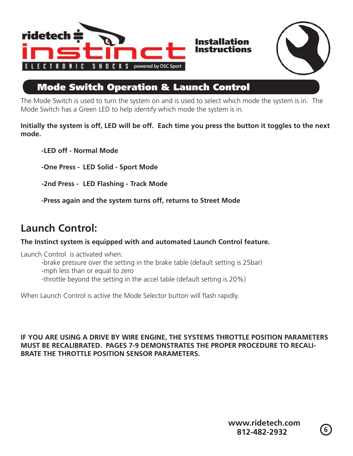



### **Mode Switch Operation & Launch Control**

The Mode Switch is used to turn the system on and is used to select which mode the system is in. The Mode Switch has a Green LED to help identify which mode the system is in.

**Initially the system is off, LED will be off. Each time you press the button it toggles to the next mode.**

 **-LED off - Normal Mode**

 **-One Press - LED Solid - Sport Mode**

 **-2nd Press - LED Flashing - Track Mode**

 **-Press again and the system turns off, returns to Street Mode**

## **Launch Control:**

**The Instinct system is equipped with and automated Launch Control feature.**

Launch Control is activated when:

-brake pressure over the setting in the brake table (default setting is 25bar)

-mph less than or equal to zero

-throttle beyond the setting in the accel table (default setting is 20%)

When Launch Control is active the Mode Selector button will flash rapidly.

#### **IF YOU ARE USING A DRIVE BY WIRE ENGINE, THE SYSTEMS THROTTLE POSITION PARAMETERS MUST BE RECALIBRATED. PAGES 7-9 DEMONSTRATES THE PROPER PROCEDURE TO RECALI-BRATE THE THROTTLE POSITION SENSOR PARAMETERS.**

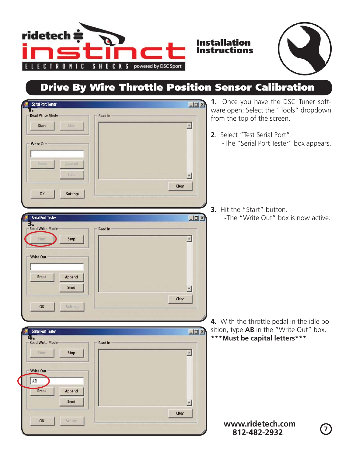



# **Drive By Wire Throttle Position Sensor Calibration**

**Instructions**

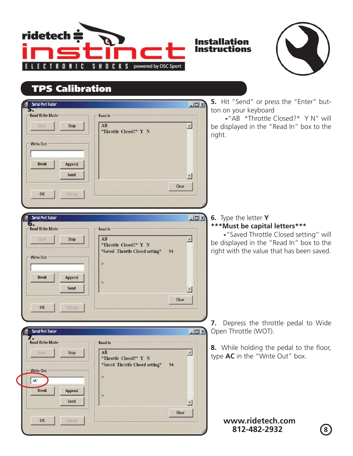



# **TPS Calibration**

| $\Box$ ux<br>Serial Port Tester                                                                                                                                                                                                                                                                           | 5. Hit "Send" or press the "Enter" but-                                                                                                                                                  |
|-----------------------------------------------------------------------------------------------------------------------------------------------------------------------------------------------------------------------------------------------------------------------------------------------------------|------------------------------------------------------------------------------------------------------------------------------------------------------------------------------------------|
| <b>Read Write Mode</b><br><b>Read In</b><br>AB<br>Stop<br>Start<br>*Throttle Closed?* Y N<br><b>Write Out</b><br><b>Break</b><br>Append<br>Send<br>Clear<br>Settings<br>OK                                                                                                                                | ton on your keyboard<br>-"AB *Throttle Closed?* Y N" will<br>be displayed in the "Read In" box to the<br>right.                                                                          |
| $-101 \times$<br><b>Serial Port Tester</b><br>6.<br><b>Read Write Mode</b><br><b>Read In</b><br>AB<br>Stop<br><b>Start</b><br>*Throttle Closed?* Y N<br>*Saved Throttle Closed setting*<br>94<br><b>Write Out</b><br>$\geq$<br><b>Break</b><br><b>Append</b><br>$\geq$<br>Send<br>Clear<br>OK<br>Settings | 6. Type the letter Y<br>*** Must be capital letters***<br>-"Saved Throttle Closed setting" will<br>be displayed in the "Read In" box to the<br>right with the value that has been saved. |
| $-101 \times$<br><b>Serial Port Tester</b>                                                                                                                                                                                                                                                                | 7. Depress the throttle pedal to Wide<br>Open Throttle (WOT).                                                                                                                            |
| <b>Read Write Mode</b><br><b>Read In</b><br>AB<br>Stop<br>Start<br>*Throttle Closed?* Y N<br>*Saved Throttle Closed setting*<br>94<br><b>Write Out</b><br>$\,>$<br>AC<br><b>Break</b><br>Append<br>$\geq$<br>Send                                                                                         | 8. While holding the pedal to the floor,<br>type AC in the "Write Out" box.                                                                                                              |
| Clear<br>OK<br>Settings                                                                                                                                                                                                                                                                                   | www.ridetech.com<br>812-482-2932<br>$\left( 8\right)$                                                                                                                                    |